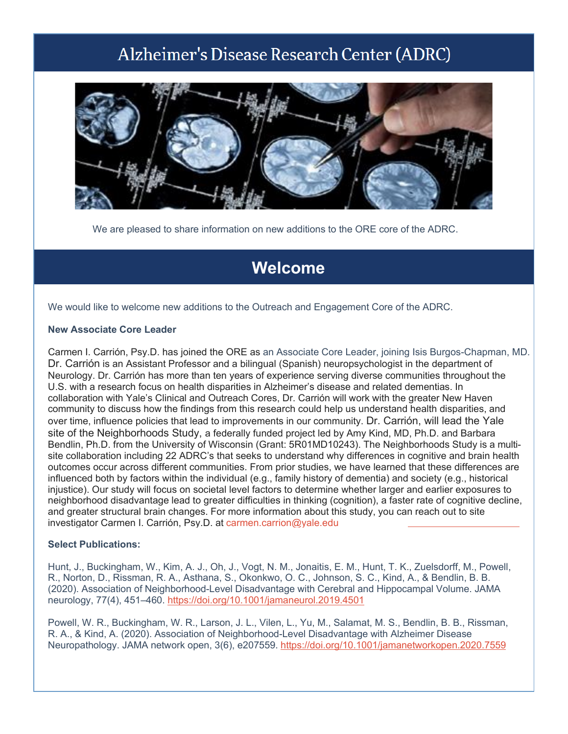# Alzheimer's Disease Research Center (ADRC)



We are pleased to share information on new additions to the ORE core of the ADRC.

## **Welcome**

We would like to welcome new additions to the Outreach and Engagement Core of the ADRC.

#### **New Associate Core Leader**

Carmen I. Carrión, Psy.D. has joined the ORE as an Associate Core Leader, joining Isis Burgos-Chapman, MD. Dr. Carrión is an Assistant Professor and a bilingual (Spanish) neuropsychologist in the department of Neurology. Dr. Carrión has more than ten years of experience serving diverse communities throughout the U.S. with a research focus on health disparities in Alzheimer's disease and related dementias. In collaboration with Yale's Clinical and Outreach Cores, Dr. Carrión will work with the greater New Haven community to discuss how the findings from this research could help us understand health disparities, and over time, influence policies that lead to improvements in our community. Dr. Carrión, will lead the Yale site of the Neighborhoods Study, a federally funded project led by Amy Kind, MD, Ph.D. and Barbara Bendlin, Ph.D. from the University of Wisconsin (Grant: 5R01MD10243). The Neighborhoods Study is a multisite collaboration including 22 ADRC's that seeks to understand why differences in cognitive and brain health outcomes occur across different communities. From prior studies, we have learned that these differences are influenced both by factors within the individual (e.g., family history of dementia) and society (e.g., historical injustice). Our study will focus on societal level factors to determine whether larger and earlier exposures to neighborhood disadvantage lead to greater difficulties in thinking (cognition), a faster rate of cognitive decline, and greater structural brain changes. For more information about this study, you can reach out to site investigator Carmen I. Carrión, Psy.D. at [carmen.carrion@yale.e](mailto:carmen.carrion@yale.edu)du

#### **Select Publications:**

Hunt, J., Buckingham, W., Kim, A. J., Oh, J., Vogt, N. M., Jonaitis, E. M., Hunt, T. K., Zuelsdorff, M., Powell, R., Norton, D., Rissman, R. A., Asthana, S., Okonkwo, O. C., Johnson, S. C., Kind, A., & Bendlin, B. B. (2020). Association of Neighborhood-Level Disadvantage with Cerebral and Hippocampal Volume. JAMA neurology, 77(4), 451–460. [https://doi.org/10.1001/jamaneurol.2019.4501](https://nam12.safelinks.protection.outlook.com/?url=https%3A%2F%2Fdoi.org%2F10.1001%2Fjamaneurol.2019.4501&data=04%7C01%7Cgeraldine.hawthorne%40yale.edu%7C0c5df8bc8327403ebb1408d9e816c417%7Cdd8cbebb21394df8b4114e3e87abeb5c%7C0%7C0%7C637796006747414735%7CUnknown%7CTWFpbGZsb3d8eyJWIjoiMC4wLjAwMDAiLCJQIjoiV2luMzIiLCJBTiI6Ik1haWwiLCJXVCI6Mn0%3D%7C3000&sdata=CDsciCyD0P1heQQa1tgg31LaXChknlfax1jY9ELOpW8%3D&reserved=0)

Powell, W. R., Buckingham, W. R., Larson, J. L., Vilen, L., Yu, M., Salamat, M. S., Bendlin, B. B., Rissman, R. A., & Kind, A. (2020). Association of Neighborhood-Level Disadvantage with Alzheimer Disease Neuropathology. JAMA network open, 3(6), e207559. [https://doi.org/10.1001/jamanetworkopen.2020.7559](https://nam12.safelinks.protection.outlook.com/?url=https%3A%2F%2Fdoi.org%2F10.1001%2Fjamanetworkopen.2020.7559&data=04%7C01%7Cgeraldine.hawthorne%40yale.edu%7C0c5df8bc8327403ebb1408d9e816c417%7Cdd8cbebb21394df8b4114e3e87abeb5c%7C0%7C0%7C637796006747414735%7CUnknown%7CTWFpbGZsb3d8eyJWIjoiMC4wLjAwMDAiLCJQIjoiV2luMzIiLCJBTiI6Ik1haWwiLCJXVCI6Mn0%3D%7C3000&sdata=NCey%2BgcocDh6KxFJagCviZKhWJHqndJqamd%2FclZOX%2BU%3D&reserved=0)